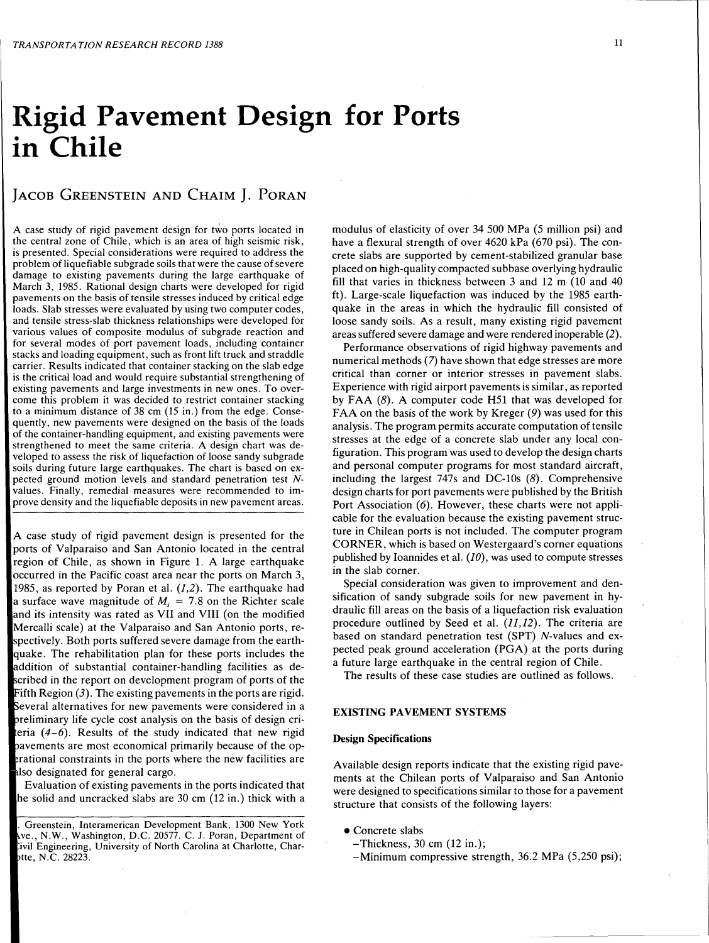# **Rigid Pavement Design for Ports in Chile**

# JACOB GREENSTEIN AND CHAIM J. PORAN

A case study of rigid pavement design for *two* ports located in the central zone of Chile, which is an area of high seismic risk, is presented. Special considerations were required to address the problem of liquefiable subgrade soils that were the cause of severe damage to existing pavements during the large earthquake of March 3, 1985. Rational design charts were developed for rigid pavements on the basis of tensile stresses induced by critical edge loads. Slab stresses were evaluated by using two computer codes, and tensile stress-slab thickness relationships were developed for various values of composite modulus of subgrade reaction and for several modes of port pavement loads, including container stacks and loading equipment, such as front lift truck and straddle carrier. Results indicated that container stacking on the slab edge is the critical load and would require substantial strengthening of existing pavements and large investments in new ones. To overcome this problem it was decided to restrict container stacking to a minimum distance of 38 cm (15 in.) from the edge. Consequently, new pavements were designed on the basis of the loads of the container-handling equipment, and existing pavements were strengthened to meet the same criteria. A design chart was developed to assess the risk of liquefaction of loose sandy subgrade soils during future large earthquakes. The chart is based on expected ground motion levels and standard penetration test *N*values. Finally, remedial measures were recommended to improve density and the liquefiable deposits in new pavement areas.

A case study of rigid pavement design is presented for the ports of Valparaiso and San Antonio located in the central region of Chile, as shown in Figure 1. A large earthquake occurred in the Pacific coast area near the ports on March 3, 1985, as reported by Poran et al.  $(1,2)$ . The earthquake had a surface wave magnitude of  $M<sub>s</sub> = 7.8$  on the Richter scale and its intensity was rated as VII and VIII (on the modified Mercalli scale) at the Valparaiso and San Antonio ports, respectively. Both ports suffered severe damage from the earthquake. The rehabilitation plan for these ports includes the ddition of substantial container-handling facilities as described in the report on development program of ports of the Fifth Region  $(3)$ . The existing pavements in the ports are rigid. Several alternatives for new pavements were considered in a reliminary life cycle cost analysis on the basis of design crieria *(4-6).* Results of the study indicated that new rigid avements are most economical primarily because of the oprational constraints in the ports where the new facilities are also designated for general cargo.

Evaluation of existing pavements in the ports indicated that he solid and uncracked slabs are 30 cm (12 in.) thick with a modulus of elasticity of over 34 500 MPa (5 million psi) and have a flexural strength of over 4620 kPa (670 psi). The concrete slabs are supported by cement-stabilized granular base placed on high-quality compacted subbase overlying hydraulic fill that varies in thickness between 3 and 12 m (10 and 40 ft). Large-scale liquefaction was induced by the 1985 earthquake in the areas in which the hydraulic fill consisted of loose sandy soils. As a result, many existing rigid pavement areas suffered severe damage and were rendered inoperable (2).

Performance observations of rigid highway pavements and numerical methods (7) have shown that edge stresses are more critical than corner or interior stresses in pavement slabs. Experience with rigid airport pavements is similar, as reported by FAA (8). A computer code H51 that was developed for FAA on the basis of the work by Kreger (9) was used for this analysis. The program permits accurate computation of tensile stresses at the edge of a concrete slab under any local configuration. This program was used to develop the design charts and personal computer programs for most standard aircraft, including the largest  $747s$  and DC-10s  $(8)$ . Comprehensive design charts for port pavements were published by the British Port Association (6). However, these charts were not applicable for the evaluation because the existing pavement structure in Chilean ports is not included. The computer program CORNER, which is based on Westergaard's corner equations published by Ioannides et al.  $(10)$ , was used to compute stresses in the slab corner.

Special consideration was given to improvement and densification of sandy subgrade soils for new pavement in hydraulic fill areas on the basis of a liquefaction risk evaluation procedure outlined by Seed et al.  $(11, 12)$ . The criteria are based on standard penetration test (SPT) N-values and expected peak ground acceleration (PGA) at the ports during a future large earthquake in the central region of Chile.

The results of these case studies are outlined as follows.

# EXISTING PAVEMENT SYSTEMS

#### Design Specifications

Available design reports indicate that the existing rigid pavements at the Chilean ports of Valparaiso and San Antonio were designed to specifications similar to those for a pavement structure that consists of the following layers:

- Concrete slabs
	- ~Thickness, 30 cm (12 in.);
	- -Minimum compressive strength, 36.2 MPa (5,250 psi);

<sup>.</sup> Greenstein, Interamerican Development Bank, 1300 New York ve., N.W., Washington, D.C. 20577. C. J. Poran, Department of ivil Engineering, University of North Carolina at Charlotte, Chartte, N.C. 28223.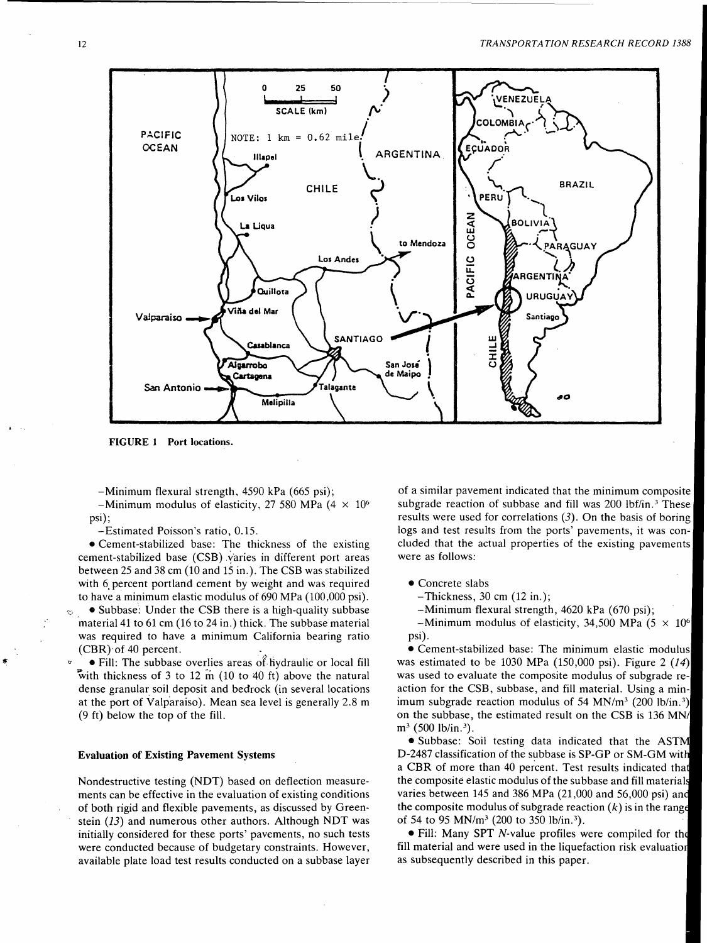

FIGURE l Port locations.

-Minimum flexural strength, 4590 kPa (665 psi);

-Minimum modulus of elasticity, 27 580 MPa  $(4 \times 10^6)$ psi);

-Estimated Poisson's ratio, 0.15.

• Cement-stabilized base: The thickness of the existing cement-stabilized base (CSB) varies in different port areas between 25 and 38 cm (10 and 15 in.). The CSB was stabilized with 6, percent portland cement by weight and was required to have a minimum elastic modulus of 690 MPa (100,000 psi).

• Subbase: Under the CSB there is a high-quality subbase material 41 to 61 cm (16 to 24 in.) thick. The subbase material was required to have a minimum California bearing ratio (CBR)·of 40 percent. .

• Fill: The subbase overlies areas of hydraulic or local fill with thickness of 3 to 12 m (10 to 40 ft) above the natural dense granular soil deposit and bedrock (in several locations at the port of Valparaiso). Mean sea level is generally 2.8 m (9 ft) below the top of the fill.

#### Evaluation of Existing Pavement Systems

Nondestructive testing (NDT) based on deflection measurements can be effective in the evaluation of existing conditions of both rigid and flexible pavements, as discussed by Greenstein  $(13)$  and numerous other authors. Although NDT was initially considered for these ports' pavements, no such tests were conducted because of budgetary constraints. However, available plate load test results conducted on a subbase layer

of a similar pavement indicated that the minimum composite subgrade reaction of subbase and fill was 200 lbf/in.<sup>3</sup> These results were used for correlations  $(3)$ . On the basis of boring logs and test results from the ports' pavements, it was concluded that the actual properties of the existing pavements were as follows:

• Concrete slabs

-Thickness, 30 cm (12 in.);

-Minimum flexural strength, 4620 kPa (670 psi);

-Minimum modulus of elasticity, 34,500 MPa (5  $\times$  10<sup>6</sup> psi).

•Cement-stabilized base: The minimum elastic modulus was estimated to be 1030 MPa (150,000 psi). Figure 2  $(14)$ was used to evaluate the composite modulus of subgrade reaction for the CSB, subbase, and fill material. Using a minimum subgrade reaction modulus of 54 MN/m<sup>3</sup> (200 lb/in.<sup>3</sup>) on the subbase, the estimated result on the CSB is 136 MN/  $m^3$  (500 lb/in.<sup>3</sup>).

• Subbase: Soil testing data indicated that the AST D-2487 classification of the subbase is SP-GP or SM-GM wit a CBR of more than 40 percent. Test results indicated that the composite elastic modulus of the subbase and fill materials varies between 145 and 386 MPa (21,000 and 56,000 psi) an the composite modulus of subgrade reaction  $(k)$  is in the range of 54 to 95 MN/m3 (200 to 350 lb/in. 3).

• Fill: Many SPT N-value profiles were compiled for the fill material and were used in the liquefaction risk evaluation as subsequently described in this paper.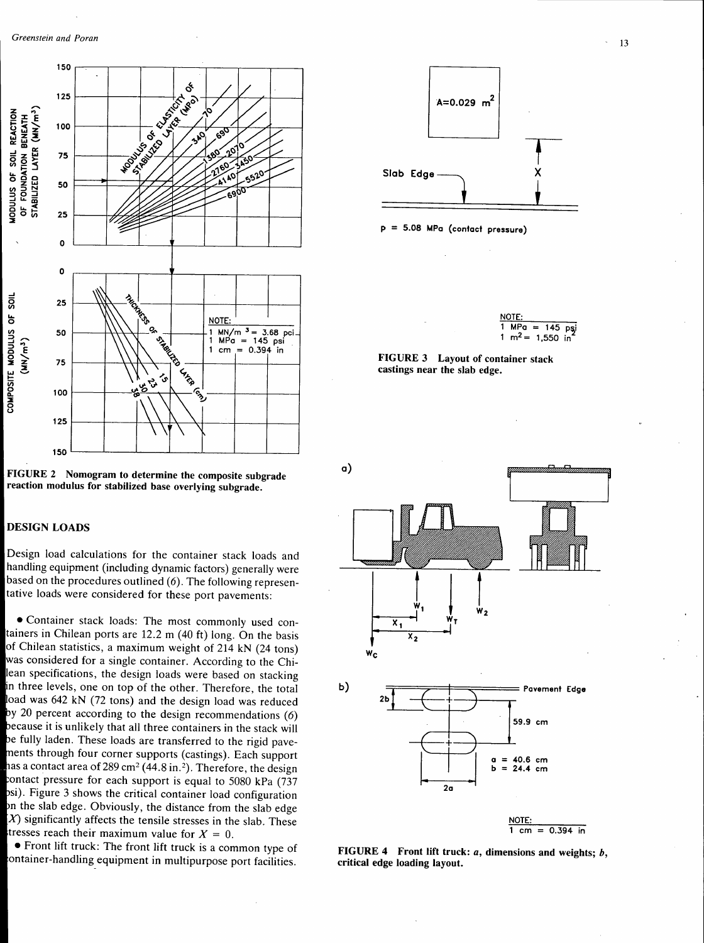



# DESIGN LOADS

Design load calculations for the container stack loads and handling equipment (including dynamic factors) generally were based on the procedures outlined (6). The following representative loads were considered for these port pavements:

• Container stack loads: The most commonly used containers in Chilean ports are 12.2 m (40 ft) long. On the basis of Chilean statistics, a maximum weight of 214 kN (24 tons) was considered for a single container. According to the Chilean specifications, the design loads were based on stacking in three levels, one on top of the other. Therefore, the total load was 642 kN (72 tons) and the design load was reduced by 20 percent according to the design recommendations  $(6)$ because it is unlikely that all three containers in the stack will be fully laden. These loads are transferred to the rigid pavements through four corner supports (castings). Each support has a contact area of 289 cm<sup>2</sup> (44.8 in.<sup>2</sup>). Therefore, the design ontact pressure for each support is equal to 5080 kPa (737 si). Figure 3 shows the critical container load configuration n the slab edge. Obviously, the distance from the slab edge  $X$ ) significantly affects the tensile stresses in the slab. These tresses reach their maximum value for  $X = 0$ .

• Front lift truck: The front lift truck is a common type of ontainer-handling equipment in multipurpose port facilities.





| NOTE: |                                          |  |  |  |
|-------|------------------------------------------|--|--|--|
|       | $1 \text{ MPa} = 145 \text{ psi}$        |  |  |  |
|       | 1 m <sup>2</sup> = 1,550 in <sup>*</sup> |  |  |  |





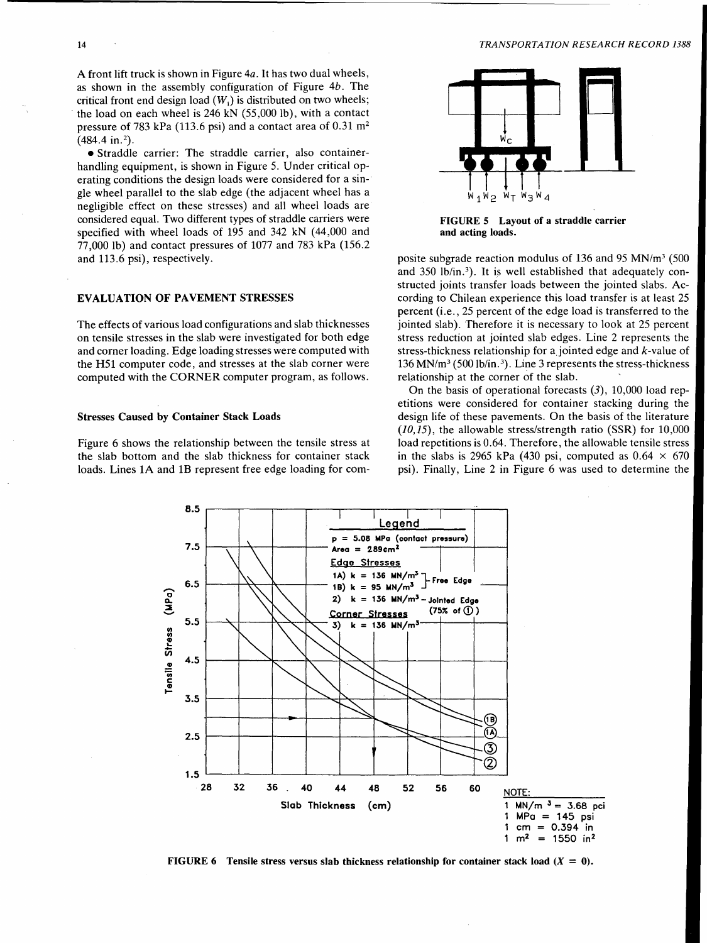A front lift truck is shown in Figure 4a. It has two dual wheels, as shown in the assembly configuration of Figure *4b.* The critical front end design load  $(W<sub>1</sub>)$  is distributed on two wheels; the load on each wheel is  $246$  kN  $(55,000$  lb), with a contact pressure of 783 kPa (113.6 psi) and a contact area of  $0.31 \text{ m}^2$  $(484.4 \text{ in.}^2)$ .

•Straddle carrier: The straddle carrier, also containerhandling equipment, is shown in Figure 5. Under critical operating conditions the design loads were considered for a sin-· gle wheel parallel to the slab edge (the adjacent wheel has a negligible effect on these stresses) and all wheel loads are considered equal. Two different types of straddle carriers were specified with wheel loads of 195 and 342 kN (44,000 and 77 ,000 lb) and contact pressures of 1077 and 783 kPa (156.2 and 113.6 psi), respectively.

#### EVALUATION OF PAVEMENT STRESSES

The effects of various load configurations and slab thicknesses on tensile stresses in the slab were investigated for both edge and corner loading. Edge loading stresses were computed with the H51 computer code, and stresses at the slab corner were computed with the CORNER computer program, as follows.

#### Stresses Caused by Container Stack Loads

Figure 6 shows the relationship between the tensile stress at the slab bottom and the slab thickness for container stack loads. Lines 1A and 1B represent free edge loading for com-



FIGURE 5 Layout of a straddle carrier and acting loads.

posite subgrade reaction modulus of 136 and 95 MN/m3 (500 and 350 lb/in.<sup>3</sup>). It is well established that adequately constructed joints transfer loads between the jointed slabs. According to Chilean experience this load transfer is at least 25 percent (i.e., 25 percent of the edge load is transferred to the jointed slab). Therefore it is necessary to look at 25 percent stress reduction at jointed slab edges. Line 2 represents the stress-thickness relationship for a jointed edge and  $k$ -value of 136 MN/m3 (500 lb/in. 3). Line 3 represents the stress-thickness relationship at the corner of the slab.

On the basis of operational forecasts  $(3)$ , 10,000 load repetitions were considered for container stacking during the design life of these pavements. On the basis of the literature *(10,15),* the allowable stress/strength ratio (SSR) for 10,000 load repetitions is 0.64. Therefore, the allowable tensile stress in the slabs is 2965 kPa (430 psi, computed as  $0.64 \times 670$ psi). Finally, Line 2 in Figure 6 was used to determine the



FIGURE 6 Tensile stress versus slab thickness relationship for container stack load  $(X = 0)$ .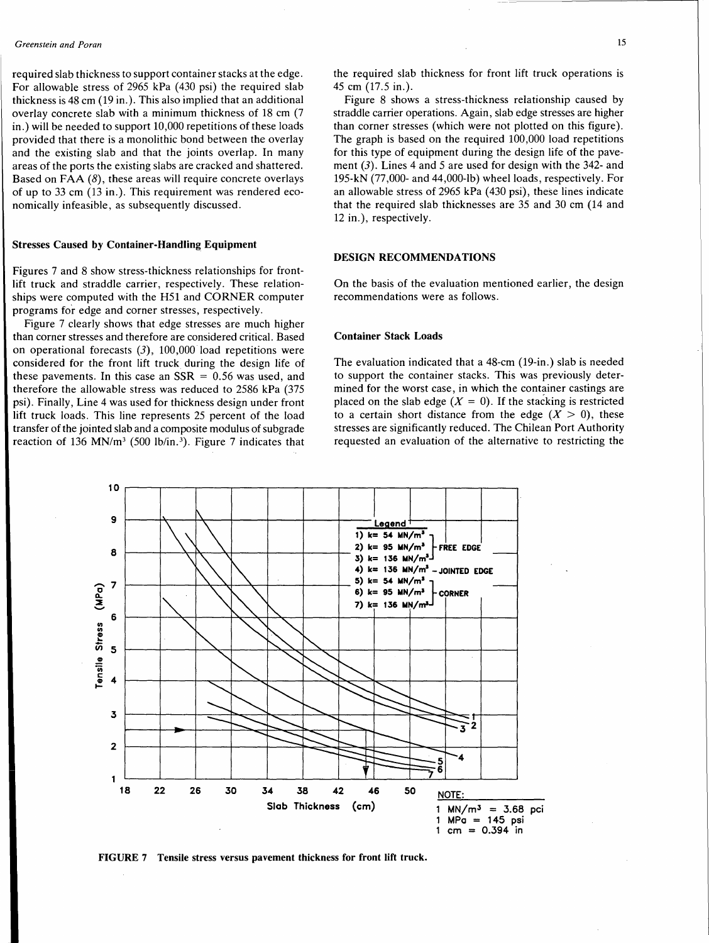required slab thickness to support container stacks at the edge. For allowable stress of 2965 kPa (430 psi) the required slab thickness is 48 cm (19 in.). This also implied that an additional overlay concrete slab with a minimum thickness of 18 cm (7 in.) will be needed to support 10,000 repetitions of these loads provided that there is a monolithic bond between the overlay and the existing slab and that the joints overlap. In many areas of the ports the existing slabs are cracked and shattered. Based on FAA  $(8)$ , these areas will require concrete overlays of up to 33 cm (13 in.). This requirement was rendered economically infeasible, as subsequently discussed.

#### Stresses Caused by Container-Handling Equipment

Figures 7 and 8 show stress-thickness relationships for frontlift truck and straddle carrier, respectively. These relationships were computed with the H51 and CORNER computer programs for edge and corner stresses, respectively.

Figure 7 clearly shows that edge stresses are much higher than corner stresses and therefore are considered critical. Based on operational forecasts (3), 100,000 load repetitions were considered for the front lift truck during the design life of these pavements. In this case an  $SSR = 0.56$  was used, and therefore the allowable stress was reduced to 2586 kPa (375 psi). Finally, Line 4 was used for thickness design under front lift truck loads. This line represents 25 percent of the load transfer of the jointed slab and a composite modulus of subgrade reaction of 136 MN/m<sup>3</sup> (500 lb/in.<sup>3</sup>). Figure 7 indicates that

Figure 8 shows a stress-thickness relationship caused by straddle carrier operations. Again, slab edge stresses are higher than corner stresses (which were not plotted on this figure). The graph is based on the required 100,000 load repetitions for this type of equipment during the design life of the pavement  $(3)$ . Lines 4 and 5 are used for design with the 342- and 195-kN (77,000- and 44,000-lb) wheel loads, respectively. For an allowable stress of 2965 kPa ( 430 psi), these lines indicate that the required slab thicknesses are 35 and 30 cm (14 and 12 in.), respectively.

# DESIGN RECOMMENDATIONS

On the basis of the evaluation mentioned earlier, the design recommendations were as follows.

#### Container Stack Loads

The evaluation indicated that a 48-cm (19-in.) slab is needed to support the container stacks. This was previously determined for the worst case, in which the container castings are placed on the slab edge  $(X = 0)$ . If the stacking is restricted to a certain short distance from the edge  $(X > 0)$ , these stresses are significantly reduced. The Chilean Port Authority requested an evaluation of the alternative to restricting the



FIGURE 7 Tensile stress versus pavement thickness for front lift truck.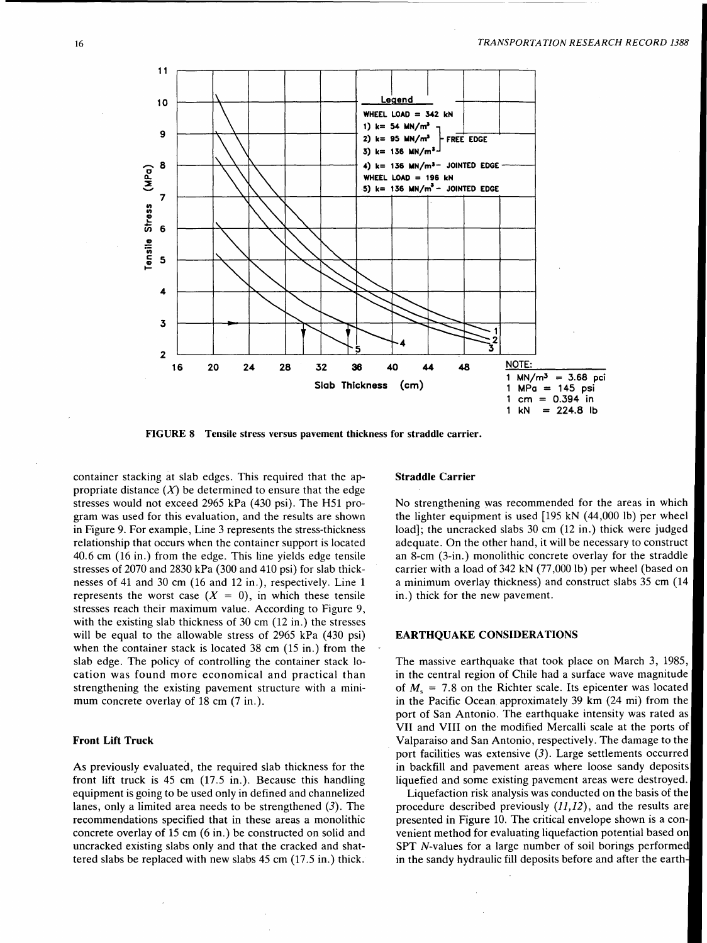

FIGURE 8 Tensile stress versus pavement thickness for straddle carrier.

container stacking at slab edges. This required that the appropriate distance  $(X)$  be determined to ensure that the edge stresses would not exceed 2965 kPa (430 psi). The H51 program was used for this evaluation, and the results are shown in Figure 9. For example, Line 3 represents the stress-thickness relationship that occurs when the container support is located 40.6 cm (16 in.) from the edge. This line yields edge tensile stresses of 2070 and 2830 kPa (300 and 410 psi) for slab thicknesses of 41 and 30 cm (16 and 12 in.), respectively. Line 1 represents the worst case  $(X = 0)$ , in which these tensile stresses reach their maximum value. According to Figure 9, with the existing slab thickness of 30 cm (12 in.) the stresses will be equal to the allowable stress of 2965 kPa (430 psi) when the container stack is located 38 cm (15 in.) from the slab edge. The policy of controlling the container stack location was found more economical and practical than strengthening the existing pavement structure with a minimum concrete overlay of 18 cm (7 in.).

# Front Lift Truck

As previously evaluated, the required slab thickness for the front lift truck is 45 cm (17.5 in.). Because this handling equipment is going to be used only in defined and channelized lanes, only a limited area needs to be strengthened  $(3)$ . The recommendations specified that in these areas a monolithic concrete overlay of 15 cm (6 in.) be constructed on solid and uncracked existing slabs only and that the cracked and shattered slabs be replaced with new slabs 45 cm (17 .5 in.) thick.

#### Straddle Carrier

No strengthening was recommended for the areas in which the lighter equipment is used [195 kN (44,000 lb) per wheel load]; the uncracked slabs 30 cm (12 in.) thick were judged adequate. On the other hand, it will be necessary to construct an 8-cm (3-in.) monolithic concrete overlay for the straddle carrier with a load of 342 kN (77 ,000 lb) per wheel (based on a minimum overlay thickness) and construct slabs 35 cm (14 in.) thick for the new pavement.

### EARTHQUAKE CONSIDERATIONS

The massive earthquake that took place on March 3, 1985, in the central region of Chile had a surface wave magnitude of  $M_s$  = 7.8 on the Richter scale. Its epicenter was located in the Pacific Ocean approximately 39 km (24 mi) from the port of San Antonio. The earthquake intensity was rated as VII and VIII on the modified Mercalli scale at the ports of Valparaiso and San Antonio, respectively. The damage to the port facilities was extensive  $(3)$ . Large settlements occurred in backfill and pavement areas where loose sandy deposits liquefied and some existing pavement areas were destroyed.

Liquefaction risk analysis was conducted on the basis of the procedure described previously (11,12), and the results are presented in Figure 10. The critical envelope shown is a convenient method for evaluating liquefaction potential based on SPT N-values for a large number of soil borings performed in the sandy hydraulic fill deposits before and after the earth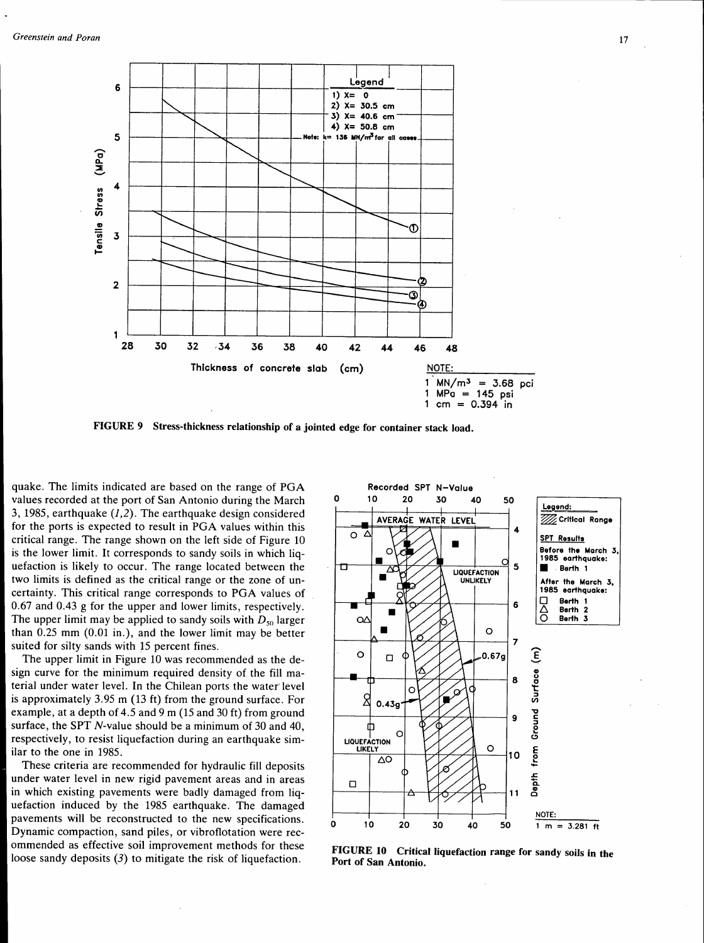

FIGURE 9 Stress-thickness relationship of a jointed edge for container stack load.

quake. The limits indicated are based on the range of PGA values recorded at the port of San Antonio during the March 3, 1985, earthquake  $(1,2)$ . The earthquake design considered for the ports is expected to result in PGA values within this critical range. The range shown on the left side of Figure 10 is the lower limit. It corresponds to sandy soils in which liquefaction is likely to occur. The range located between the two limits is defined as the critical range or the zone of uncertainty. This critical range corresponds to PGA values of 0.67 and 0.43 g for the upper and lower limits, respectively. The upper limit may be applied to sandy soils with  $D_{50}$  larger than 0.25 mm (0.01 in.), and the lower limit may be better suited for silty sands with 15 percent fines.

The upper limit in Figure 10 was recommended as the design curve for the minimum required density of the fill material under water level. In the Chilean ports the water' level is approximately 3.95 m (13 ft) from the ground surface. For example, at a depth of 4.5 and 9 m (15 and 30 ft) from ground surface, the SPT N-value should be a minimum of 30 and 40, respectively, to resist liquefaction during an earthquake similar to the one in 1985.

These criteria are recommended for hydraulic fill deposits under water level in new rigid pavement areas and in areas in which existing pavements were badly damaged from liquefaction induced by the 1985 earthquake. The damaged pavements will be reconstructed to the new specifications. Dynamic compaction, sand piles, or vibroflotation were recommended as effective soil improvement methods for these ommentied as effective son improvement incurous for these FIGURE 10 Critical liquefaction range for sandy soils in the loose sandy deposits (3) to mitigate the risk of liquefaction.



Port of San Antonio.